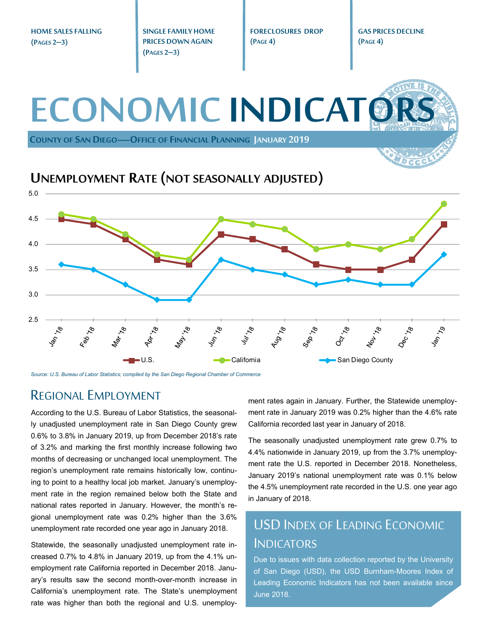**HOME SALES FALLING (PAGES 2–3)** 

**SINGLE FAMILY HOME PRICES DOWN AGAIN (PAGES 2–3)** 

**FORECLOSURES DROP (PAGE 4)** 

**GAS PRICES DECLINE (PAGE 4)** 

## **ECONOMIC INDICATO COUNTY OF SAN DIEGO—OFFICE OF FINANCIAL PLANNING JANUARY 2019 UNEMPLOYMENT RATE (NOT SEASONALLY ADJUSTED)** 5.0 4.5 4.0 3.5 3.0 2.5 May 18  $40^{17}$ Augra Oct 18 .18  $\mathcal{S}$ 1601-U.S. **California** California San Diego County

*Source: U.S. Bureau of Labor Statistics; compiled by the San Diego Regional Chamber of Commerce* 

#### REGIONAL EMPLOYMENT

According to the U.S. Bureau of Labor Statistics, the seasonally unadjusted unemployment rate in San Diego County grew 0.6% to 3.8% in January 2019, up from December 2018's rate of 3.2% and marking the first monthly increase following two months of decreasing or unchanged local unemployment. The region's unemployment rate remains historically low, continuing to point to a healthy local job market. January's unemployment rate in the region remained below both the State and national rates reported in January. However, the month's regional unemployment rate was 0.2% higher than the 3.6% unemployment rate recorded one year ago in January 2018.

Statewide, the seasonally unadjusted unemployment rate increased 0.7% to 4.8% in January 2019, up from the 4.1% unemployment rate California reported in December 2018. January's results saw the second month-over-month increase in California's unemployment rate. The State's unemployment rate was higher than both the regional and U.S. unemployment rates again in January. Further, the Statewide unemployment rate in January 2019 was 0.2% higher than the 4.6% rate California recorded last year in January of 2018.

The seasonally unadjusted unemployment rate grew 0.7% to 4.4% nationwide in January 2019, up from the 3.7% unemployment rate the U.S. reported in December 2018. Nonetheless, January 2019's national unemployment rate was 0.1% below the 4.5% unemployment rate recorded in the U.S. one year ago in January of 2018.

### USD INDEX OF LEADING ECONOMIC **INDICATORS**

Due to issues with data collection reported by the University of San Diego (USD), the USD Burnham-Moores Index of Leading Economic Indicators has not been available since June 2018.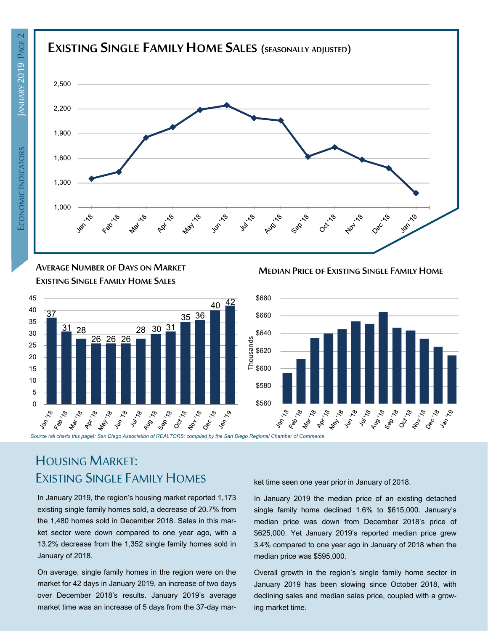



**AVERAGE NUMBER OF DAYS ON MARKET EXISTING SINGLE FAMILY HOME SALES**



**MEDIAN PRICE OF EXISTING SINGLE FAMILY HOME**



# HOUSING MARKET: EXISTING SINGLE FAMILY HOMES

In January 2019, the region's housing market reported 1,173 existing single family homes sold, a decrease of 20.7% from the 1,480 homes sold in December 2018. Sales in this market sector were down compared to one year ago, with a 13.2% decrease from the 1,352 single family homes sold in January of 2018.

On average, single family homes in the region were on the market for 42 days in January 2019, an increase of two days over December 2018's results. January 2019's average market time was an increase of 5 days from the 37-day market time seen one year prior in January of 2018.

In January 2019 the median price of an existing detached single family home declined 1.6% to \$615,000. January's median price was down from December 2018's price of \$625,000. Yet January 2019's reported median price grew 3.4% compared to one year ago in January of 2018 when the median price was \$595,000.

Overall growth in the region's single family home sector in January 2019 has been slowing since October 2018, with declining sales and median sales price, coupled with a growing market time.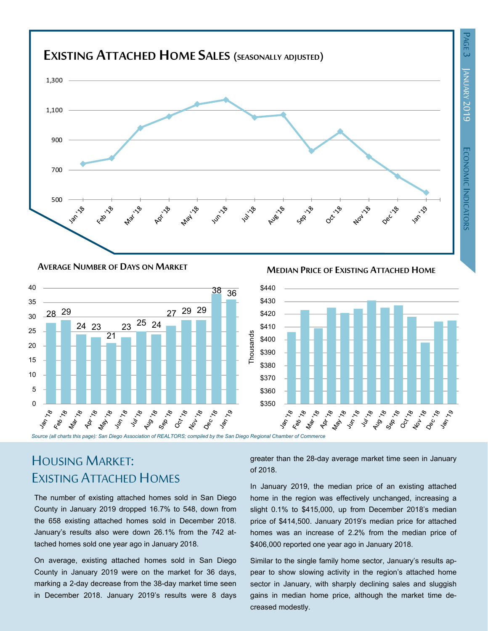



**MEDIAN PRICE OF EXISTING ATTACHED HOME AVERAGE NUMBER OF DAYS ON MARKET**



# HOUSING MARKET: EXISTING ATTACHED HOMES

The number of existing attached homes sold in San Diego County in January 2019 dropped 16.7% to 548, down from the 658 existing attached homes sold in December 2018. January's results also were down 26.1% from the 742 attached homes sold one year ago in January 2018.

On average, existing attached homes sold in San Diego County in January 2019 were on the market for 36 days, marking a 2-day decrease from the 38-day market time seen in December 2018. January 2019's results were 8 days

greater than the 28-day average market time seen in January of 2018.

In January 2019, the median price of an existing attached home in the region was effectively unchanged, increasing a slight 0.1% to \$415,000, up from December 2018's median price of \$414,500. January 2019's median price for attached homes was an increase of 2.2% from the median price of \$406,000 reported one year ago in January 2018.

Similar to the single family home sector, January's results appear to show slowing activity in the region's attached home sector in January, with sharply declining sales and sluggish gains in median home price, although the market time decreased modestly.